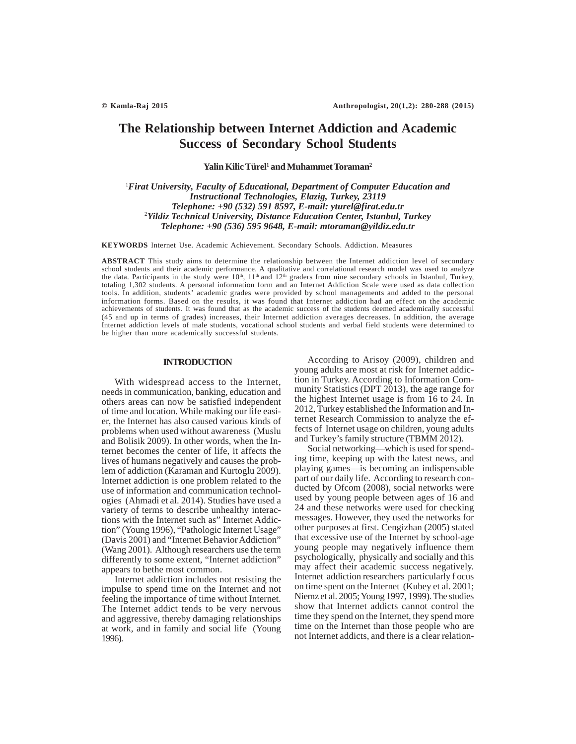# **The Relationship between Internet Addiction and Academic Success of Secondary School Students**

Yalin Kilic Türel<sup>1</sup> and Muhammet Toraman<sup>2</sup>

1 *Firat University, Faculty of Educational, Department of Computer Education and Instructional Technologies, Elazig, Turkey, 23119 Telephone: +90 (532) 591 8597, E-mail: yturel@firat.edu.tr* 2 *Yildiz Technical University, Distance Education Center, Istanbul, Turkey Telephone: +90 (536) 595 9648, E-mail: mtoraman@yildiz.edu.tr*

**KEYWORDS** Internet Use. Academic Achievement. Secondary Schools. Addiction. Measures

**ABSTRACT** This study aims to determine the relationship between the Internet addiction level of secondary school students and their academic performance. A qualitative and correlational research model was used to analyze the data. Participants in the study were  $10^{th}$ ,  $11^{th}$  and  $12^{th}$  graders from nine secondary schools in Istanbul, Turkey, totaling 1,302 students. A personal information form and an Internet Addiction Scale were used as data collection tools. In addition, students' academic grades were provided by school managements and added to the personal information forms. Based on the results, it was found that Internet addiction had an effect on the academic achievements of students. It was found that as the academic success of the students deemed academically successful (45 and up in terms of grades) increases, their Internet addiction averages decreases. In addition, the average Internet addiction levels of male students, vocational school students and verbal field students were determined to be higher than more academically successful students.

### **INTRODUCTION**

With widespread access to the Internet, needs in communication, banking, education and others areas can now be satisfied independent of time and location. While making our life easier, the Internet has also caused various kinds of problems when used without awareness (Muslu and Bolisik 2009). In other words, when the Internet becomes the center of life, it affects the lives of humans negatively and causes the problem of addiction (Karaman and Kurtoglu 2009). Internet addiction is one problem related to the use of information and communication technologies (Ahmadi et al. 2014). Studies have used a variety of terms to describe unhealthy interactions with the Internet such as" Internet Addiction" (Young 1996), "Pathologic Internet Usage" (Davis 2001) and "Internet Behavior Addiction" (Wang 2001). Although researchers use the term differently to some extent, "Internet addiction" appears to bethe most common.

Internet addiction includes not resisting the impulse to spend time on the Internet and not feeling the importance of time without Internet. The Internet addict tends to be very nervous and aggressive, thereby damaging relationships at work, and in family and social life (Young 1996).

According to Arisoy (2009), children and young adults are most at risk for Internet addiction in Turkey. According to Information Community Statistics (DPT 2013), the age range for the highest Internet usage is from 16 to 24. In 2012, Turkey established the Information and Internet Research Commission to analyze the effects of Internet usage on children, young adults and Turkey's family structure (TBMM 2012).

Social networking—which is used for spending time, keeping up with the latest news, and playing games—is becoming an indispensable part of our daily life. According to research conducted by Ofcom (2008), social networks were used by young people between ages of 16 and 24 and these networks were used for checking messages. However, they used the networks for other purposes at first. Cengizhan (2005) stated that excessive use of the Internet by school-age young people may negatively influence them psychologically, physically and socially and this may affect their academic success negatively. Internet addiction researchers particularly f ocus on time spent on the Internet (Kubey et al. 2001; Niemz et al. 2005; Young 1997, 1999). The studies show that Internet addicts cannot control the time they spend on the Internet, they spend more time on the Internet than those people who are not Internet addicts, and there is a clear relation-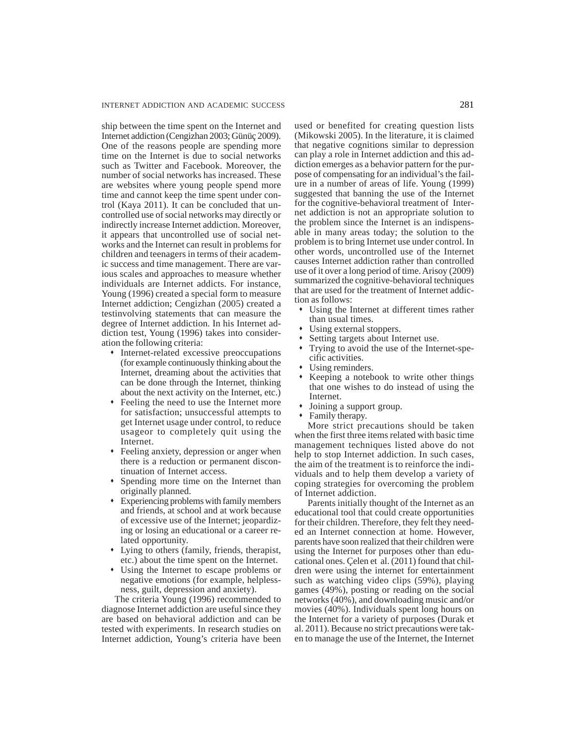ship between the time spent on the Internet and Internet addiction (Cengizhan 2003; Günüç 2009). One of the reasons people are spending more time on the Internet is due to social networks such as Twitter and Facebook. Moreover, the number of social networks has increased. These are websites where young people spend more time and cannot keep the time spent under control (Kaya 2011). It can be concluded that uncontrolled use of social networks may directly or indirectly increase Internet addiction. Moreover, it appears that uncontrolled use of social networks and the Internet can result in problems for children and teenagers in terms of their academic success and time management. There are various scales and approaches to measure whether individuals are Internet addicts. For instance, Young (1996) created a special form to measure Internet addiction; Cengizhan (2005) created a testinvolving statements that can measure the degree of Internet addiction. In his Internet addiction test, Young (1996) takes into consideration the following criteria:

- Internet-related excessive preoccupations (for example continuously thinking about the Internet, dreaming about the activities that can be done through the Internet, thinking about the next activity on the Internet, etc.)
- Feeling the need to use the Internet more for satisfaction; unsuccessful attempts to get Internet usage under control, to reduce usageor to completely quit using the Internet.
- Feeling anxiety, depression or anger when there is a reduction or permanent discontinuation of Internet access.
- Spending more time on the Internet than originally planned.
- Experiencing problems with family members and friends, at school and at work because of excessive use of the Internet; jeopardizing or losing an educational or a career related opportunity.
- Lying to others (family, friends, therapist, etc.) about the time spent on the Internet.
- Using the Internet to escape problems or negative emotions (for example, helplessness, guilt, depression and anxiety).

The criteria Young (1996) recommended to diagnose Internet addiction are useful since they are based on behavioral addiction and can be tested with experiments. In research studies on Internet addiction, Young's criteria have been used or benefited for creating question lists (Mikowski 2005). In the literature, it is claimed that negative cognitions similar to depression can play a role in Internet addiction and this addiction emerges as a behavior pattern for the purpose of compensating for an individual's the failure in a number of areas of life. Young (1999) suggested that banning the use of the Internet for the cognitive-behavioral treatment of Internet addiction is not an appropriate solution to the problem since the Internet is an indispensable in many areas today; the solution to the problem is to bring Internet use under control. In other words, uncontrolled use of the Internet causes Internet addiction rather than controlled use of it over a long period of time. Arisoy (2009) summarized the cognitive-behavioral techniques that are used for the treatment of Internet addiction as follows:

- Using the Internet at different times rather than usual times.
- Using external stoppers.
- Setting targets about Internet use.
- Trying to avoid the use of the Internet-specific activities.
- Using reminders.
- Keeping a notebook to write other things that one wishes to do instead of using the Internet.
- Joining a support group.
- Family therapy.

More strict precautions should be taken when the first three items related with basic time management techniques listed above do not help to stop Internet addiction. In such cases, the aim of the treatment is to reinforce the individuals and to help them develop a variety of coping strategies for overcoming the problem of Internet addiction.

Parents initially thought of the Internet as an educational tool that could create opportunities for their children. Therefore, they felt they needed an Internet connection at home. However, parents have soon realized that their children were using the Internet for purposes other than educational ones. Çelen et al. (2011) found that children were using the internet for entertainment such as watching video clips (59%), playing games (49%), posting or reading on the social networks (40%), and downloading music and/or movies (40%). Individuals spent long hours on the Internet for a variety of purposes (Durak et al. 2011). Because no strict precautions were taken to manage the use of the Internet, the Internet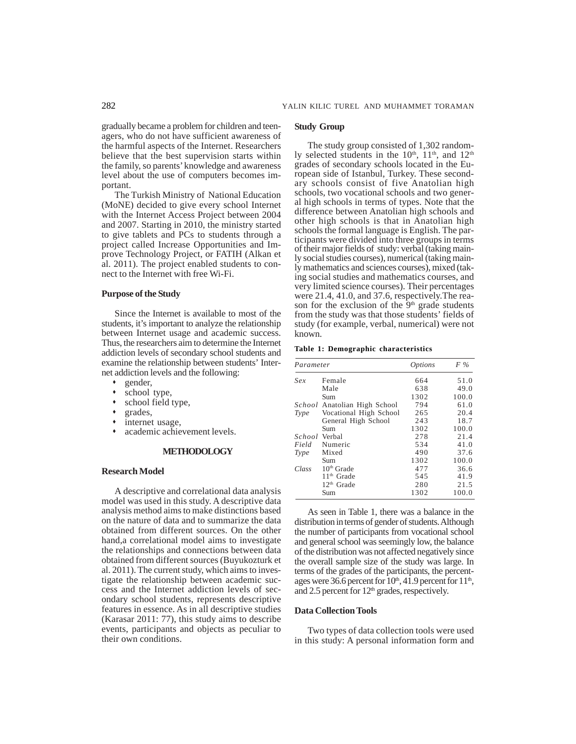gradually became a problem for children and teenagers, who do not have sufficient awareness of the harmful aspects of the Internet. Researchers believe that the best supervision starts within the family, so parents' knowledge and awareness level about the use of computers becomes important.

The Turkish Ministry of National Education (MoNE) decided to give every school Internet with the Internet Access Project between 2004 and 2007. Starting in 2010, the ministry started to give tablets and PCs to students through a project called Increase Opportunities and Improve Technology Project, or FATIH (Alkan et al. 2011). The project enabled students to connect to the Internet with free Wi-Fi.

### **Purpose of the Study**

Since the Internet is available to most of the students, it's important to analyze the relationship between Internet usage and academic success. Thus, the researchers aim to determine the Internet addiction levels of secondary school students and examine the relationship between students' Internet addiction levels and the following:

- gender,
- school type,
- school field type,
- grades,
- internet usage,
- academic achievement levels.

#### **METHODOLOGY**

### **Research Model**

A descriptive and correlational data analysis model was used in this study. A descriptive data analysis method aims to make distinctions based on the nature of data and to summarize the data obtained from different sources. On the other hand,a correlational model aims to investigate the relationships and connections between data obtained from different sources (Buyukozturk et al. 2011). The current study, which aims to investigate the relationship between academic success and the Internet addiction levels of secondary school students, represents descriptive features in essence. As in all descriptive studies (Karasar 2011: 77), this study aims to describe events, participants and objects as peculiar to their own conditions.

### **Study Group**

The study group consisted of 1,302 randomly selected students in the  $10^{th}$ ,  $11^{th}$ , and  $12^{th}$ grades of secondary schools located in the European side of Istanbul, Turkey. These secondary schools consist of five Anatolian high schools, two vocational schools and two general high schools in terms of types. Note that the difference between Anatolian high schools and other high schools is that in Anatolian high schools the formal language is English. The participants were divided into three groups in terms of their major fields of study: verbal (taking mainly social studies courses), numerical (taking mainly mathematics and sciences courses), mixed (taking social studies and mathematics courses, and very limited science courses). Their percentages were 21.4, 41.0, and 37.6, respectively.The reason for the exclusion of the  $9<sup>th</sup>$  grade students from the study was that those students' fields of study (for example, verbal, numerical) were not known.

#### **Table 1: Demographic characteristics**

| Parameter     |                              | <i>Options</i> | F %   |  |
|---------------|------------------------------|----------------|-------|--|
| Sex           | Female                       | 664            | 51.0  |  |
|               | Male                         | 638            | 49.0  |  |
|               | Sum                          | 1302           | 100.0 |  |
|               | School Anatolian High School | 794            | 61.0  |  |
| Type          | Vocational High School       | 265            | 20.4  |  |
|               | General High School          | 243            | 18.7  |  |
|               | Sum                          | 1302           | 100.0 |  |
| School Verbal |                              | 278            | 21.4  |  |
| Field         | Numeric                      | 534            | 41.0  |  |
| Type          | Mixed                        | 490            | 37.6  |  |
|               | Sum                          | 1302           | 100.0 |  |
| Class         | $10th$ Grade                 | 477            | 36.6  |  |
|               | $11th$ Grade                 | 545            | 41.9  |  |
|               | 12 <sup>th</sup> Grade       | 280            | 21.5  |  |
|               | Sum                          | 1302           | 100.0 |  |

As seen in Table 1, there was a balance in the distribution in terms of gender of students. Although the number of participants from vocational school and general school was seemingly low, the balance of the distribution was not affected negatively since the overall sample size of the study was large. In terms of the grades of the participants, the percentages were 36.6 percent for  $10<sup>th</sup>$ , 41.9 percent for  $11<sup>th</sup>$ , and 2.5 percent for  $12<sup>th</sup>$  grades, respectively.

### **Data Collection Tools**

Two types of data collection tools were used in this study: A personal information form and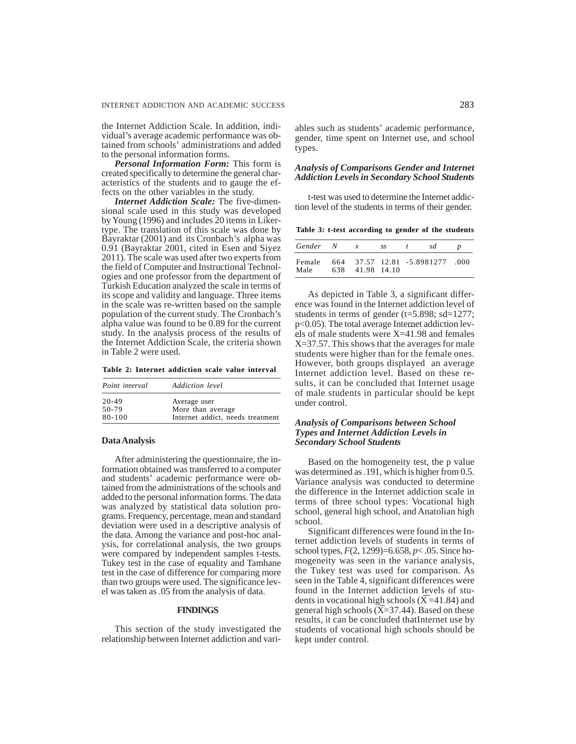the Internet Addiction Scale. In addition, individual's average academic performance was obtained from schools' administrations and added to the personal information forms.

*Personal Information Form:* This form is created specifically to determine the general characteristics of the students and to gauge the effects on the other variables in the study.

*Internet Addiction Scale:* The five-dimensional scale used in this study was developed by Young (1996) and includes 20 items in Likertype. The translation of this scale was done by Bayraktar (2001) and its Cronbach's alpha was 0.91 (Bayraktar 2001, cited in Esen and Siyez 2011). The scale was used after two experts from the field of Computer and Instructional Technologies and one professor from the department of Turkish Education analyzed the scale in terms of its scope and validity and language. Three items in the scale was re-written based on the sample population of the current study. The Cronbach's alpha value was found to be 0.89 for the current study. In the analysis process of the results of the Internet Addiction Scale, the criteria shown in Table 2 were used.

| Table 2: Internet addiction scale value interval |  |  |  |  |
|--------------------------------------------------|--|--|--|--|
|--------------------------------------------------|--|--|--|--|

| Point interval | Addiction level                  |  |  |
|----------------|----------------------------------|--|--|
| $20 - 49$      | Average user                     |  |  |
| 50-79          | More than average                |  |  |
| $80 - 100$     | Internet addict, needs treatment |  |  |

#### **Data Analysis**

After administering the questionnaire, the information obtained was transferred to a computer and students' academic performance were obtained from the administrations of the schools and added to the personal information forms. The data was analyzed by statistical data solution programs. Frequency, percentage, mean and standard deviation were used in a descriptive analysis of the data. Among the variance and post-hoc analysis, for correlational analysis, the two groups were compared by independent samples t-tests. Tukey test in the case of equality and Tamhane test in the case of difference for comparing more than two groups were used. The significance level was taken as .05 from the analysis of data.

### **FINDINGS**

This section of the study investigated the relationship between Internet addiction and vari-

ables such as students' academic performance, gender, time spent on Internet use, and school types.

### *Analysis of Comparisons Gender and Internet Addiction Levels in Secondary School Students*

t-test was used to determine the Internet addiction level of the students in terms of their gender.

**Table 3: t-test according to gender of the students**

| Gender N       | $\boldsymbol{x}$ | SS. | $\mathbf{r}$ | sd                              |  |
|----------------|------------------|-----|--------------|---------------------------------|--|
| Female<br>Male | 638 41.98 14.10  |     |              | 664 37.57 12.81 -5.8981277 .000 |  |

As depicted in Table 3, a significant difference was found in the Internet addiction level of students in terms of gender ( $t=5.898$ ; sd=1277; p<0.05). The total average Internet addiction levels of male students were X=41.98 and females X=37.57. This shows that the averages for male students were higher than for the female ones. However, both groups displayed an average Internet addiction level. Based on these results, it can be concluded that Internet usage of male students in particular should be kept under control.

### *Analysis of Comparisons between School Types and Internet Addiction Levels in Secondary School Students*

Based on the homogeneity test, the p value was determined as .191, which is higher from 0.5. Variance analysis was conducted to determine the difference in the Internet addiction scale in terms of three school types: Vocational high school, general high school, and Anatolian high school.

Significant differences were found in the Internet addiction levels of students in terms of school types, *F*(2, 1299)=6.658, *p*< .05. Since homogeneity was seen in the variance analysis, the Tukey test was used for comparison. As seen in the Table 4, significant differences were found in the Internet addiction levels of students in vocational high schools  $(X=41.84)$  and general high schools  $(X=37.44)$ . Based on these results, it can be concluded thatInternet use by students of vocational high schools should be kept under control.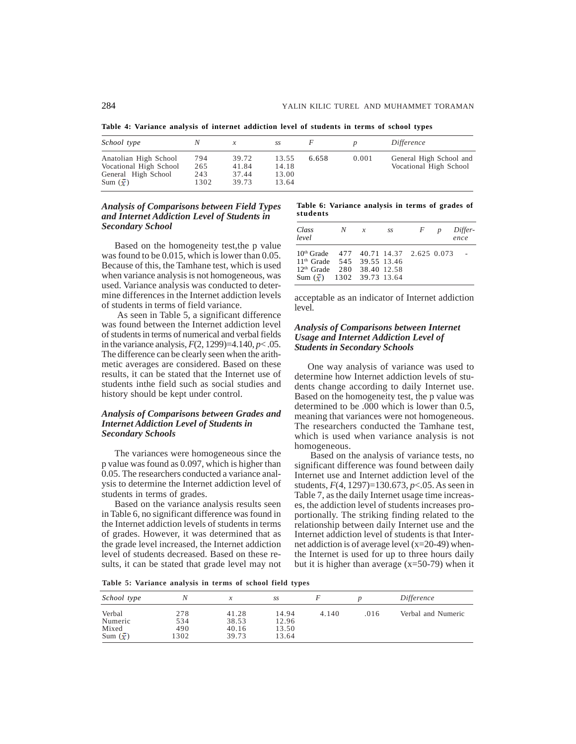**Table 4: Variance analysis of internet addiction level of students in terms of school types**

| School type                                                                                       |                           |                                  | SS                               |       |       | Difference                                        |
|---------------------------------------------------------------------------------------------------|---------------------------|----------------------------------|----------------------------------|-------|-------|---------------------------------------------------|
| Anatolian High School<br>Vocational High School<br>General High School<br>$Sum(\mathbf{\bar{r}})$ | 794<br>265<br>243<br>1302 | 39.72<br>41.84<br>37.44<br>39.73 | 13.55<br>14.18<br>13.00<br>13.64 | 6.658 | 0.001 | General High School and<br>Vocational High School |

### *Analysis of Comparisons between Field Types and Internet Addiction Level of Students in Secondary School*

Based on the homogeneity test,the p value was found to be 0.015, which is lower than 0.05. Because of this, the Tamhane test, which is used when variance analysis is not homogeneous, was used. Variance analysis was conducted to determine differences in the Internet addiction levels of students in terms of field variance.

As seen in Table 5, a significant difference was found between the Internet addiction level of students in terms of numerical and verbal fields in the variance analysis,  $F(2, 1299)=4.140, p<.05$ . The difference can be clearly seen when the arithmetic averages are considered. Based on these results, it can be stated that the Internet use of students inthe field such as social studies and history should be kept under control.

## *Analysis of Comparisons between Grades and Internet Addiction Level of Students in Secondary Schools*

The variances were homogeneous since the p value was found as 0.097, which is higher than 0.05. The researchers conducted a variance analysis to determine the Internet addiction level of students in terms of grades.

Based on the variance analysis results seen in Table 6, no significant difference was found in the Internet addiction levels of students in terms of grades. However, it was determined that as the grade level increased, the Internet addiction level of students decreased. Based on these results, it can be stated that grade level may not

**Table 6: Variance analysis in terms of grades of students**

| Class<br>level                                                                                                                                                                 | N | $\boldsymbol{x}$ | SS | $\overline{F}$ | $\boldsymbol{D}$ | Differ-<br>ence |
|--------------------------------------------------------------------------------------------------------------------------------------------------------------------------------|---|------------------|----|----------------|------------------|-----------------|
| 10 <sup>th</sup> Grade 477 40.71 14.37 2.625 0.073<br>11 <sup>th</sup> Grade 545 39.55 13.46<br>12 <sup>th</sup> Grade 280 38.40 12.58<br>Sum $(\frac{1}{2})$ 1302 39.73 13.64 |   |                  |    |                |                  |                 |

acceptable as an indicator of Internet addiction level.

### *Analysis of Comparisons between Internet Usage and Internet Addiction Level of Students in Secondary Schools*

One way analysis of variance was used to determine how Internet addiction levels of students change according to daily Internet use. Based on the homogeneity test, the p value was determined to be .000 which is lower than 0.5, meaning that variances were not homogeneous. The researchers conducted the Tamhane test, which is used when variance analysis is not homogeneous.

Based on the analysis of variance tests, no significant difference was found between daily Internet use and Internet addiction level of the students, *F*(4, 1297)=130.673, *p*<.05. As seen in Table 7, as the daily Internet usage time increases, the addiction level of students increases proportionally. The striking finding related to the relationship between daily Internet use and the Internet addiction level of students is that Internet addiction is of average level (x=20-49) whenthe Internet is used for up to three hours daily but it is higher than average  $(x=50-79)$  when it

**Table 5: Variance analysis in terms of school field types**

| School type                                           | Ν                         | х                                | SS                               |       |      | Difference         |
|-------------------------------------------------------|---------------------------|----------------------------------|----------------------------------|-------|------|--------------------|
| Verbal<br>Numeric<br>Mixed<br>$Sum(\mathbf{\bar{r}})$ | 278<br>534<br>490<br>1302 | 41.28<br>38.53<br>40.16<br>39.73 | 14.94<br>12.96<br>13.50<br>13.64 | 4.140 | .016 | Verbal and Numeric |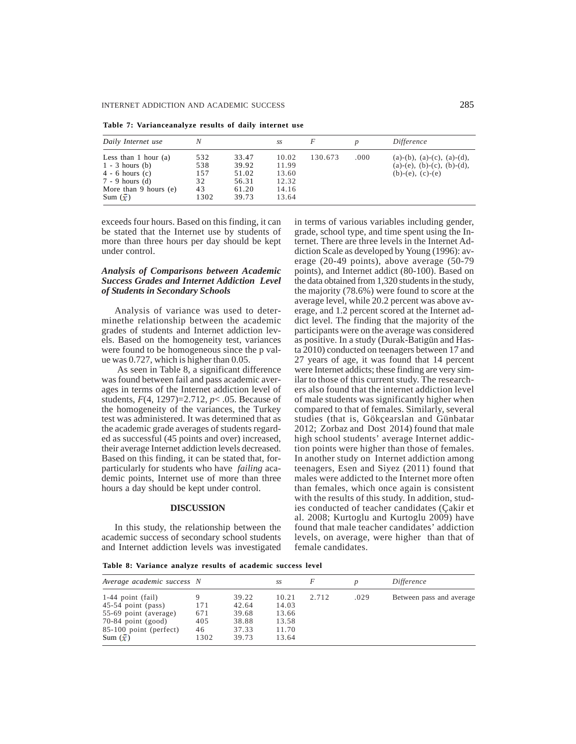**Table 7: Varianceanalyze results of daily internet use**

| Daily Internet use                                                                                                                                 | Ν                                     |                                                    | SS                                                 | F       |      | Difference                                                                                |
|----------------------------------------------------------------------------------------------------------------------------------------------------|---------------------------------------|----------------------------------------------------|----------------------------------------------------|---------|------|-------------------------------------------------------------------------------------------|
| Less than 1 hour $(a)$<br>$1 - 3$ hours (b)<br>$4 - 6$ hours $(c)$<br>7 - 9 hours (d)<br>More than $9$ hours (e)<br>Sum $\left(\frac{1}{x}\right)$ | 532<br>538<br>157<br>32<br>43<br>1302 | 33.47<br>39.92<br>51.02<br>56.31<br>61.20<br>39.73 | 10.02<br>11.99<br>13.60<br>12.32<br>14.16<br>13.64 | 130.673 | .000 | $(a)-(b), (a)-(c), (a)-(d),$<br>$(a)-(e)$ , $(b)-(c)$ , $(b)-(d)$ ,<br>$(b)-(e), (c)-(e)$ |

exceeds four hours. Based on this finding, it can be stated that the Internet use by students of more than three hours per day should be kept under control.

### *Analysis of Comparisons between Academic Success Grades and Internet Addiction Level of Students in Secondary Schools*

Analysis of variance was used to determinethe relationship between the academic grades of students and Internet addiction levels. Based on the homogeneity test, variances were found to be homogeneous since the p value was 0.727, which is higher than 0.05.

As seen in Table 8, a significant difference was found between fail and pass academic averages in terms of the Internet addiction level of students, *F*(4, 1297)=2.712, *p*< .05. Because of the homogeneity of the variances, the Turkey test was administered. It was determined that as the academic grade averages of students regarded as successful (45 points and over) increased, their average Internet addiction levels decreased. Based on this finding, it can be stated that, forparticularly for students who have *failing* academic points, Internet use of more than three hours a day should be kept under control.

#### **DISCUSSION**

In this study, the relationship between the academic success of secondary school students and Internet addiction levels was investigated in terms of various variables including gender, grade, school type, and time spent using the Internet. There are three levels in the Internet Addiction Scale as developed by Young (1996): average (20-49 points), above average (50-79 points), and Internet addict (80-100). Based on the data obtained from 1,320 students in the study, the majority (78.6%) were found to score at the average level, while 20.2 percent was above average, and 1.2 percent scored at the Internet addict level. The finding that the majority of the participants were on the average was considered as positive. In a study (Durak-Batigün and Hasta 2010) conducted on teenagers between 17 and 27 years of age, it was found that 14 percent were Internet addicts; these finding are very similar to those of this current study. The researchers also found that the internet addiction level of male students was significantly higher when compared to that of females. Similarly, several studies (that is, Gökçearslan and Günbatar 2012; Zorbaz and Dost 2014) found that male high school students' average Internet addiction points were higher than those of females. In another study on Internet addiction among teenagers, Esen and Siyez (2011) found that males were addicted to the Internet more often than females, which once again is consistent with the results of this study. In addition, studies conducted of teacher candidates (Çakir et al. 2008; Kurtoglu and Kurtoglu 2009) have found that male teacher candidates' addiction levels, on average, were higher than that of female candidates.

**Table 8: Variance analyze results of academic success level**

| Average academic success N                                                                                                                               |                                 |                                                    | SS                                                 | F     |      | Difference               |
|----------------------------------------------------------------------------------------------------------------------------------------------------------|---------------------------------|----------------------------------------------------|----------------------------------------------------|-------|------|--------------------------|
| $1-44$ point (fail)<br>$45-54$ point (pass)<br>55-69 point (average)<br>$70-84$ point (good)<br>85-100 point (perfect)<br>Sum $\left(\frac{1}{x}\right)$ | 171<br>671<br>405<br>46<br>1302 | 39.22<br>42.64<br>39.68<br>38.88<br>37.33<br>39.73 | 10.21<br>14.03<br>13.66<br>13.58<br>11.70<br>13.64 | 2.712 | .029 | Between pass and average |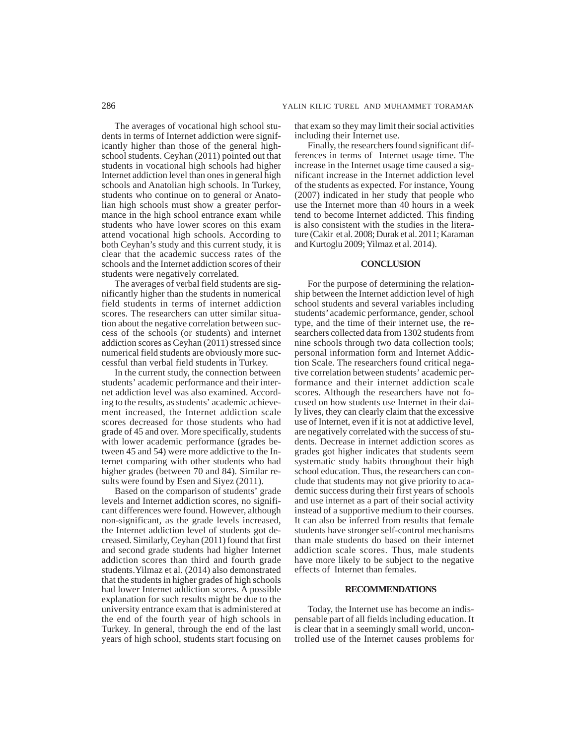The averages of vocational high school students in terms of Internet addiction were significantly higher than those of the general highschool students. Ceyhan (2011) pointed out that students in vocational high schools had higher Internet addiction level than ones in general high schools and Anatolian high schools. In Turkey, students who continue on to general or Anatolian high schools must show a greater performance in the high school entrance exam while students who have lower scores on this exam attend vocational high schools. According to both Ceyhan's study and this current study, it is clear that the academic success rates of the schools and the Internet addiction scores of their students were negatively correlated.

The averages of verbal field students are significantly higher than the students in numerical field students in terms of internet addiction scores. The researchers can utter similar situation about the negative correlation between success of the schools (or students) and internet addiction scores as Ceyhan (2011) stressed since numerical field students are obviously more successful than verbal field students in Turkey.

In the current study, the connection between students' academic performance and their internet addiction level was also examined. According to the results, as students' academic achievement increased, the Internet addiction scale scores decreased for those students who had grade of 45 and over. More specifically, students with lower academic performance (grades between 45 and 54) were more addictive to the Internet comparing with other students who had higher grades (between 70 and 84). Similar results were found by Esen and Siyez (2011).

Based on the comparison of students' grade levels and Internet addiction scores, no significant differences were found. However, although non-significant, as the grade levels increased, the Internet addiction level of students got decreased. Similarly, Ceyhan (2011) found that first and second grade students had higher Internet addiction scores than third and fourth grade students.Yilmaz et al. (2014) also demonstrated that the students in higher grades of high schools had lower Internet addiction scores. A possible explanation for such results might be due to the university entrance exam that is administered at the end of the fourth year of high schools in Turkey. In general, through the end of the last years of high school, students start focusing on that exam so they may limit their social activities including their Internet use.

Finally, the researchers found significant differences in terms of Internet usage time. The increase in the Internet usage time caused a significant increase in the Internet addiction level of the students as expected. For instance, Young (2007) indicated in her study that people who use the Internet more than 40 hours in a week tend to become Internet addicted. This finding is also consistent with the studies in the literature (Cakir et al. 2008; Durak et al. 2011; Karaman and Kurtoglu 2009; Yilmaz et al. 2014).

# **CONCLUSION**

For the purpose of determining the relationship between the Internet addiction level of high school students and several variables including students' academic performance, gender, school type, and the time of their internet use, the researchers collected data from 1302 students from nine schools through two data collection tools; personal information form and Internet Addiction Scale. The researchers found critical negative correlation between students' academic performance and their internet addiction scale scores. Although the researchers have not focused on how students use Internet in their daily lives, they can clearly claim that the excessive use of Internet, even if it is not at addictive level, are negatively correlated with the success of students. Decrease in internet addiction scores as grades got higher indicates that students seem systematic study habits throughout their high school education. Thus, the researchers can conclude that students may not give priority to academic success during their first years of schools and use internet as a part of their social activity instead of a supportive medium to their courses. It can also be inferred from results that female students have stronger self-control mechanisms than male students do based on their internet addiction scale scores. Thus, male students have more likely to be subject to the negative effects of Internet than females.

### **RECOMMENDATIONS**

Today, the Internet use has become an indispensable part of all fields including education. It is clear that in a seemingly small world, uncontrolled use of the Internet causes problems for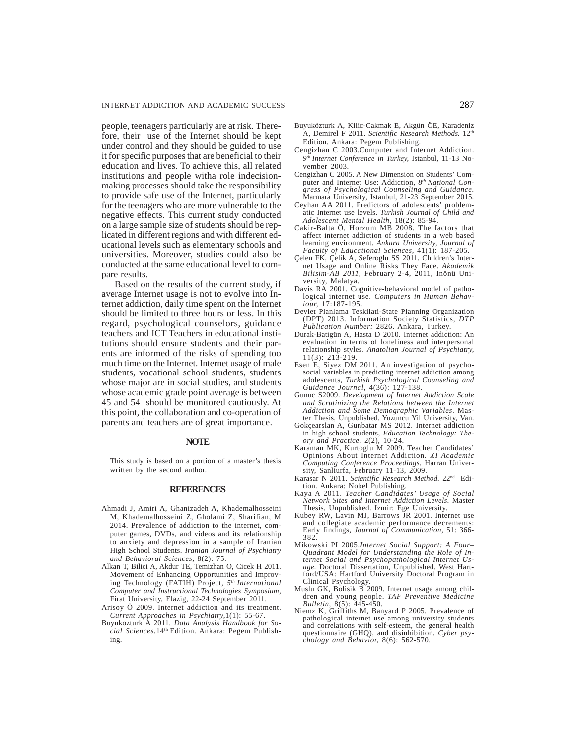people, teenagers particularly are at risk. Therefore, their use of the Internet should be kept under control and they should be guided to use it for specific purposes that are beneficial to their education and lives. To achieve this, all related institutions and people witha role indecisionmaking processes should take the responsibility to provide safe use of the Internet, particularly for the teenagers who are more vulnerable to the negative effects. This current study conducted on a large sample size of students should be replicated in different regions and with different educational levels such as elementary schools and universities. Moreover, studies could also be conducted at the same educational level to compare results.

Based on the results of the current study, if average Internet usage is not to evolve into Internet addiction, daily time spent on the Internet should be limited to three hours or less. In this regard, psychological counselors, guidance teachers and ICT Teachers in educational institutions should ensure students and their parents are informed of the risks of spending too much time on the Internet. Internet usage of male students, vocational school students, students whose major are in social studies, and students whose academic grade point average is between 45 and 54 should be monitored cautiously. At this point, the collaboration and co-operation of parents and teachers are of great importance.

#### **NOTE**

This study is based on a portion of a master's thesis written by the second author.

#### **REFERENCES**

- Ahmadi J, Amiri A, Ghanizadeh A, Khademalhosseini M, Khademalhosseini Z, Gholami Z, Sharifian, M 2014. Prevalence of addiction to the internet, computer games, DVDs, and videos and its relationship to anxiety and depression in a sample of Iranian High School Students. *Iranian Journal of Psychiatry and Behavioral Sciences,* 8(2): 75.
- Alkan T, Bilici A, Akdur TE, Temizhan O, Cicek H 2011. Movement of Enhancing Opportunities and Improving Technology (FATIH) Project, *5th International Computer and Instructional Technologies Symposium*, Firat University, Elazig, 22-24 September 2011.
- Arisoy Ö 2009. Internet addiction and its treatment. *Current Approaches in Psychiatry,*1(1): 55-67.
- Buyukozturk A 2011. *Data Analysis Handbook for Social Sciences.*14th Edition. Ankara: Pegem Publishing.
- Buyuközturk A, Kilic-Cakmak E, Akgün ÖE, Karadeniz A, Demirel F 2011. *Scientific Research Methods.* 12th Edition. Ankara: Pegem Publishing.
- Cengizhan C 2003.Computer and Internet Addiction. *9th Internet Conference in Turkey,* Istanbul, 11-13 November 2003.
- Cengizhan C 2005. A New Dimension on Students' Computer and Internet Use: Addiction, *8th National Congress of Psychological Counseling and Guidance.* Marmara University, Istanbul, 21-23 September 2015.
- Ceyhan AA 2011. Predictors of adolescents' problematic Internet use levels. *Turkish Journal of Child and Adolescent Mental Health,* 18(2): 85-94.
- Cakir-Balta Ö, Horzum MB 2008. The factors that affect internet addiction of students in a web based learning environment. *Ankara University, Journal of Faculty of Educational Sciences,* 41(1): 187-205.
- Çelen FK, Çelik A, Seferoglu SS 2011. Children's Internet Usage and Online Risks They Face. *Akademik Bilisim*-*AB 2011*, February 2-4, 2011, Inönü University, Malatya.
- Davis RA 2001. Cognitive-behavioral model of pathological internet use. *Computers in Human Behaviour,* 17:187-195.
- Devlet Planlama Teskilati-State Planning Organization (DPT) 2013. Information Society Statistics, *DTP Publication Number:* 2826. Ankara, Turkey.
- Durak-Batigün A, Hasta D 2010. Internet addiction: An evaluation in terms of loneliness and interpersonal relationship styles. *Anatolian Journal of Psychiatry,* 11(3): 213-219.
- Esen E, Siyez DM 2011. An investigation of psychosocial variables in predicting internet addiction among adolescents, *Turkish Psychological Counseling and Guidance Journal,* 4(36): 127-138.
- Gunuc S2009. *Development of Internet Addiction Scale and Scrutinizing the Relations between the Internet Addiction and Some Demographic Variables*. Master Thesis, Unpublished. Yuzuncu Yil University, Van.
- Gokçearslan A, Gunbatar MS 2012. Internet addiction in high school students, *Education Technology: Theory and Practice,* 2(2), 10-24.
- Karaman MK, Kurtoglu M 2009. Teacher Candidates' Opinions About Internet Addiction. *XI Academic Computing Conference Proceedings*, Harran University, Sanliurfa, February 11-13, 2009.
- Karasar N 2011. *Scientific Research Method.* 22nd Edition. Ankara: Nobel Publishing.
- Kaya A 2011. *Teacher Candidates' Usage of Social Network Sites and Internet Addiction Levels*. Master Thesis, Unpublished. Izmir: Ege University.
- Kubey RW, Lavin MJ, Barrows JR 2001. Internet use and collegiate academic performance decrements: Early findings, *Journal of Communication,* 51: 366- 382.
- Mikowski PI 2005.*Internet Social Support: A Four– Quadrant Model for Understanding the Role of In-ternet Social and Psychopathological Internet Usage.* Doctoral Dissertation, Unpublished. West Hartford/USA: Hartford University Doctoral Program in Clinical Psychology.
- Muslu GK, Bolisik B 2009. Internet usage among children and young people. *TAF Preventive Medicine Bulletin,* 8(5): 445-450.
- Niemz K, Griffiths M, Banyard P 2005. Prevalence of pathological internet use among university students and correlations with self-esteem, the general health questionnaire (GHQ), and disinhibition. *Cyber psychology and Behavior,* 8(6): 562-570.